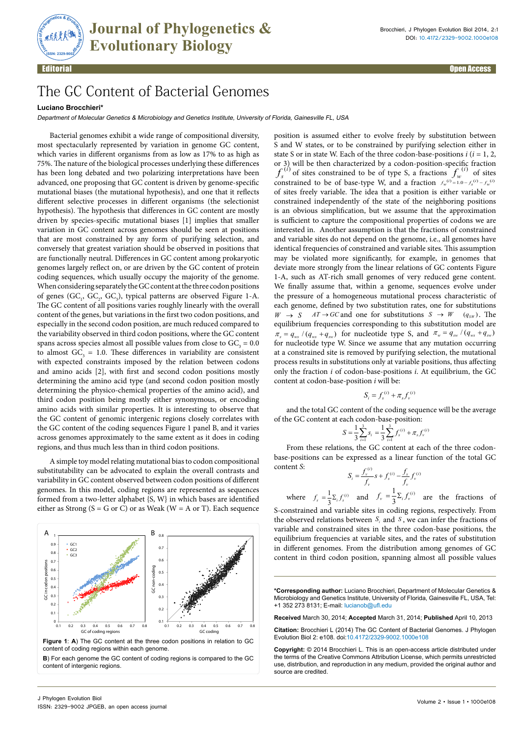

Editorial Open Access

## The GC Content of Bacterial Genomes

## **Luciano Brocchieri\***

Department of Molecular Genetics & Microbiology and Genetics Institute, University of Florida, Gainesville FL, USA

Bacterial genomes exhibit a wide range of compositional diversity, most spectacularly represented by variation in genome GC content, which varies in different organisms from as low as 17% to as high as 75%. The nature of the biological processes underlying these differences has been long debated and two polarizing interpretations have been advanced, one proposing that GC content is driven by genome-specific mutational biases (the mutational hypothesis), and one that it reflects different selective processes in different organisms (the selectionist hypothesis). The hypothesis that differences in GC content are mostly driven by species-specific mutational biases [1] implies that smaller variation in GC content across genomes should be seen at positions that are most constrained by any form of purifying selection, and conversely that greatest variation should be observed in positions that are functionally neutral. Differences in GC content among prokaryotic genomes largely reflect on, or are driven by the GC content of protein coding sequences, which usually occupy the majority of the genome. When considering separately the GC content at the three codon positions of genes  $(GC_1, GC_2, GC_3)$ , typical patterns are observed Figure 1-A. The GC content of all positions varies roughly linearly with the overall content of the genes, but variations in the first two codon positions, and especially in the second codon position, are much reduced compared to the variability observed in third codon positions, where the GC content spans across species almost all possible values from close to  $GC<sub>3</sub> = 0.0$ to almost  $GC_3 = 1.0$ . These differences in variability are consistent with expected constraints imposed by the relation between codons and amino acids [2], with first and second codon positions mostly determining the amino acid type (and second codon position mostly determining the physico-chemical properties of the amino acid), and third codon position being mostly either synonymous, or encoding amino acids with similar properties. It is interesting to observe that the GC content of genomic intergenic regions closely correlates with the GC content of the coding sequences Figure 1 panel B, and it varies across genomes approximately to the same extent as it does in coding regions, and thus much less than in third codon positions.

A simple toy model relating mutational bias to codon compositional substitutability can be advocated to explain the overall contrasts and variability in GC content observed between codon positions of different genomes. In this model, coding regions are represented as sequences formed from a two-letter alphabet {S, W} in which bases are identified either as Strong ( $S = G$  or C) or as Weak ( $W = A$  or T). Each sequence



**Figure 1**: **A**) The GC content at the three codon positions in relation to GC content of coding regions within each genome.

**B**) For each genome the GC content of coding regions is compared to the GC content of intergenic regions.

position is assumed either to evolve freely by substitution between S and W states, or to be constrained by purifying selection either in state S or in state W. Each of the three codon-base-positions  $i$  ( $i = 1, 2$ , or 3) will be then characterized by a codon-position-specific fraction  $f_s^{(i)}$  of sites constrained to be of type S, a fractions  $f_w^{(i)}$  of sites  $f_s^{(i)}$  of sites constrained to be of type S, a fractions  $f_w^{(i)}$  of sites constrained to be of base-type W, and a fraction  $f_w^{(i)} = 1.0 - f_s^{(i)} - f_w^{(i)}$ of sites freely variable. The idea that a position is either variable or constrained independently of the state of the neighboring positions is an obvious simplification, but we assume that the approximation is sufficient to capture the compositional properties of codons we are interested in. Another assumption is that the fractions of constrained and variable sites do not depend on the genome, i.e., all genomes have identical frequencies of constrained and variable sites. This assumption may be violated more significantly, for example, in genomes that deviate more strongly from the linear relations of GC contents Figure 1-A, such as AT-rich small genomes of very reduced gene content. We finally assume that, within a genome, sequences evolve under the pressure of a homogeneous mutational process characteristic of each genome, defined by two substitution rates, one for substitutions  $W \rightarrow S$  *AT* $\rightarrow$  *GC* and one for substitutions  $S \rightarrow W$  ( $q_{SW}$ ). The equilibrium frequencies corresponding to this substitution model are  $\pi_s = q_{ws} / (q_{ws} + q_{sw})$  for nucleotide type S, and  $\pi_w = q_{sw} / (q_{ws} + q_{sw})$ for nucleotide type W. Since we assume that any mutation occurring at a constrained site is removed by purifying selection, the mutational process results in substitutions only at variable positions, thus affecting only the fraction *i* of codon-base-positions *i*. At equilibrium, the GC content at codon-base-position *i* will be:

$$
S_i = f_s^{(i)} + \pi_s f_v^{(i)}
$$

and the total GC content of the coding sequence will be the average of the GC content at each codon-base-position:

$$
S = \frac{1}{3} \sum_{i=1}^{3} s_i = \frac{1}{3} \sum_{i=1}^{3} f_s^{(i)} + \pi_s f_v^{(i)}
$$

From these relations, the GC content at each of the three codonbase-positions can be expressed as a linear function of the total GC content *S*: *i*

$$
S_i = \frac{f_v^{(i)}}{f_v} s + f_s^{(i)} - \frac{f_s}{f_v} f_v^{(i)}
$$

where  $f_s = \frac{1}{3} \Sigma_i f_s^{(i)}$  and  $f_v = \frac{1}{3} \Sigma_i f_v^{(i)}$ 3  $f_v = \frac{1}{2} \sum_i f_v^{(i)}$  are the fractions of S-constrained and variable sites in coding regions, respectively. From the observed relations between  $S_i$  and  $S_j$ , we can infer the fractions of

variable and constrained sites in the three codon-base positions, the equilibrium frequencies at variable sites, and the rates of substitution in different genomes. From the distribution among genomes of GC content in third codon position, spanning almost all possible values

**\*Corresponding author:** Luciano Brocchieri, Department of Molecular Genetics & Microbiology and Genetics Institute, University of Florida, Gainesville FL, USA, Tel: +1 352 273 8131; E-mail: lucianob@ufl.edu

**Received** March 30, 2014; **Accepted** March 31, 2014; **Published** April 10, 2013

**Citation:** Brocchieri L (2014) The GC Content of Bacterial Genomes. J Phylogen Evolution Biol 2: e108. doi:10.4172/2329-9002.1000e108

**Copyright:** © 2014 Brocchieri L. This is an open-access article distributed under the terms of the Creative Commons Attribution License, which permits unrestricted use, distribution, and reproduction in any medium, provided the original author and source are credited.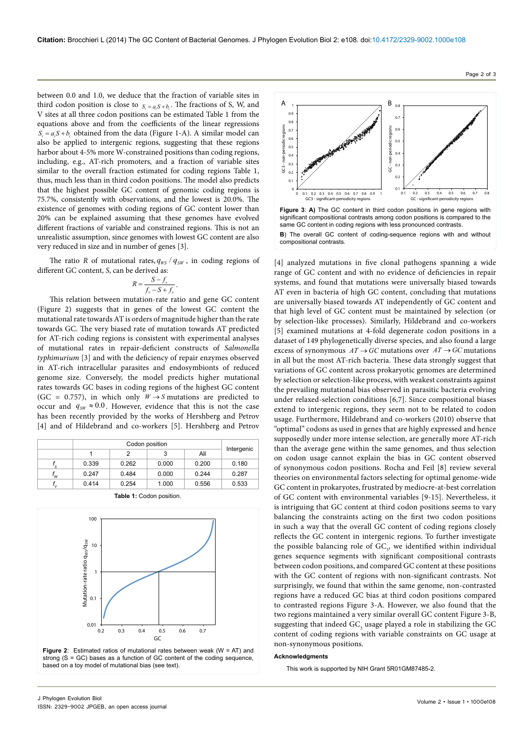between 0.0 and 1.0, we deduce that the fraction of variable sites in third codon position is close to  $S_i = a_i S + b_i$ . The fractions of S, W, and V sites at all three codon positions can be estimated Table 1 from the equations above and from the coefficients of the linear regressions  $S_i = a_i S + b_i$  obtained from the data (Figure 1-A). A similar model can also be applied to intergenic regions, suggesting that these regions harbor about 4-5% more W-constrained positions than coding regions, including, e.g., AT-rich promoters, and a fraction of variable sites similar to the overall fraction estimated for coding regions Table 1, thus, much less than in third codon positions. The model also predicts that the highest possible GC content of genomic coding regions is 75.7%, consistently with observations, and the lowest is 20.0%. The existence of genomes with coding regions of GC content lower than 20% can be explained assuming that these genomes have evolved different fractions of variable and constrained regions. This is not an unrealistic assumption, since genomes with lowest GC content are also very reduced in size and in number of genes [3].

The ratio *R* of mutational rates,  $q_{WS}$  /  $q_{SW}$ , in coding regions of different GC content, *S*, can be derived as:

$$
R = \frac{S - f_s}{f_v - S + f_s}.
$$

This relation between mutation-rate ratio and gene GC content (Figure 2) suggests that in genes of the lowest GC content the mutational rate towards AT is orders of magnitude higher than the rate towards GC. The very biased rate of mutation towards AT predicted for AT-rich coding regions is consistent with experimental analyses of mutational rates in repair-deficient constructs of *Salmonella typhimurium* [3] and with the deficiency of repair enzymes observed in AT-rich intracellular parasites and endosymbionts of reduced genome size. Conversely, the model predicts higher mutational rates towards GC bases in coding regions of the highest GC content (GC = 0.757), in which only  $W \rightarrow S$  mutations are predicted to occur and  $q_{sw} \approx 0.0$ . However, evidence that this is not the case has been recently provided by the works of Hershberg and Petrov [4] and of Hildebrand and co-workers [5]. Hershberg and Petrov

|    | Codon position |       |       |       |            |
|----|----------------|-------|-------|-------|------------|
|    |                |       |       | All   | Intergenic |
| s  | 0.339          | 0.262 | 0.000 | 0.200 | 0.180      |
| 'w | 0.247          | 0.484 | 0.000 | 0.244 | 0.287      |
| ′∨ | 0.414          | 0.254 | 1.000 | 0.556 | 0.533      |





based on a toy model of mutational bias (see text).

A  $\rightarrow$ 1 0.8 0.9  $\alpha$ 0.8 GC3 - non-periodic regions GC3 - non-periodic regions  $0.7$ GC - non-periodic regions 0.6 š 0.6 periodic re 0.5 0.5 0.4 0.4 š  $0.3$ 0.3 نې  $_{0.2}$ 0.2 0<sup>1</sup> 0.1  $\mathbf{C}$ 0 0.1 0.2 0.3 0.4 0.5 0.6 0.7 0.8 0.9 1 0.1 0.2 0.3 0.4 0.5 0.6 0.7 0.8 GC - significant-periodicity regi C3 - significant-periodicity reg **Figure 3**: **A)** The GC content in third codon positions in gene regions with significant compositional contrasts among codon positions is compared to the same GC content in coding regions with less pronounced contrasts. **B**) The overall GC content of coding-sequence regions with and without compositional contrasts.

[4] analyzed mutations in five clonal pathogens spanning a wide range of GC content and with no evidence of deficiencies in repair systems, and found that mutations were universally biased towards AT even in bacteria of high GC content, concluding that mutations are universally biased towards AT independently of GC content and that high level of GC content must be maintained by selection (or by selection-like processes). Similarly, Hildebrand and co-workers [5] examined mutations at 4-fold degenerate codon positions in a dataset of 149 phylogenetically diverse species, and also found a large excess of synonymous  $AT \rightarrow GC$  mutations over  $AT \rightarrow GC$  mutations in all but the most AT-rich bacteria. These data strongly suggest that variations of GC content across prokaryotic genomes are determined by selection or selection-like process, with weakest constraints against the prevailing mutational bias observed in parasitic bacteria evolving under relaxed-selection conditions [6,7]. Since compositional biases extend to intergenic regions, they seem not to be related to codon usage. Furthermore, Hildebrand and co-workers (2010) observe that "optimal" codons as used in genes that are highly expressed and hence supposedly under more intense selection, are generally more AT-rich than the average gene within the same genomes, and thus selection on codon usage cannot explain the bias in GC content observed of synonymous codon positions. Rocha and Feil [8] review several theories on environmental factors selecting for optimal genome-wide GC content in prokaryotes, frustrated by mediocre-at-best correlation of GC content with environmental variables [9-15]. Nevertheless, it is intriguing that GC content at third codon positions seems to vary balancing the constraints acting on the first two codon positions in such a way that the overall GC content of coding regions closely reflects the GC content in intergenic regions. To further investigate the possible balancing role of  $GC<sub>3</sub>$ , we identified within individual genes sequence segments with significant compositional contrasts between codon positions, and compared GC content at these positions with the GC content of regions with non-significant contrasts. Not surprisingly, we found that within the same genome, non-contrasted regions have a reduced GC bias at third codon positions compared to contrasted regions Figure 3-A. However, we also found that the two regions maintained a very similar overall GC content Figure 3-B, suggesting that indeed  $\mathrm{GC}_\mathrm_3$  usage played a role in stabilizing the  $\mathrm{GC}$ content of coding regions with variable constraints on GC usage at non-synonymous positions.

## **Acknowledgments**

This work is supported by NIH Grant 5R01GM87485-2.